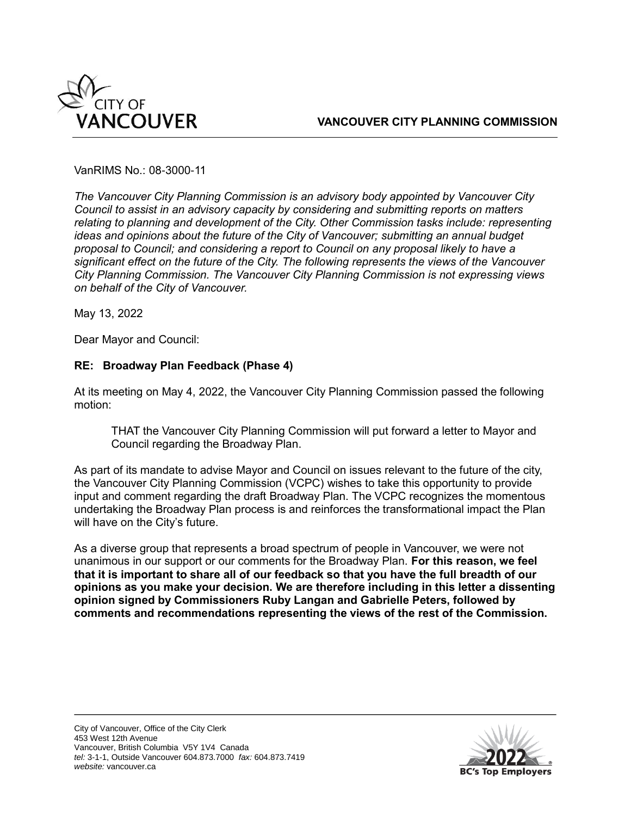

VanRIMS No.: 08-3000-11

*The Vancouver City Planning Commission is an advisory body appointed by Vancouver City Council to assist in an advisory capacity by considering and submitting reports on matters relating to planning and development of the City. Other Commission tasks include: representing ideas and opinions about the future of the City of Vancouver; submitting an annual budget proposal to Council; and considering a report to Council on any proposal likely to have a significant effect on the future of the City. The following represents the views of the Vancouver City Planning Commission. The Vancouver City Planning Commission is not expressing views on behalf of the City of Vancouver.* 

May 13, 2022

Dear Mayor and Council:

## **RE: Broadway Plan Feedback (Phase 4)**

At its meeting on May 4, 2022, the Vancouver City Planning Commission passed the following motion:

THAT the Vancouver City Planning Commission will put forward a letter to Mayor and Council regarding the Broadway Plan.

As part of its mandate to advise Mayor and Council on issues relevant to the future of the city, the Vancouver City Planning Commission (VCPC) wishes to take this opportunity to provide input and comment regarding the draft Broadway Plan. The VCPC recognizes the momentous undertaking the Broadway Plan process is and reinforces the transformational impact the Plan will have on the City's future.

As a diverse group that represents a broad spectrum of people in Vancouver, we were not unanimous in our support or our comments for the Broadway Plan. **For this reason, we feel that it is important to share all of our feedback so that you have the full breadth of our opinions as you make your decision. We are therefore including in this letter a dissenting opinion signed by Commissioners Ruby Langan and Gabrielle Peters, followed by comments and recommendations representing the views of the rest of the Commission.**

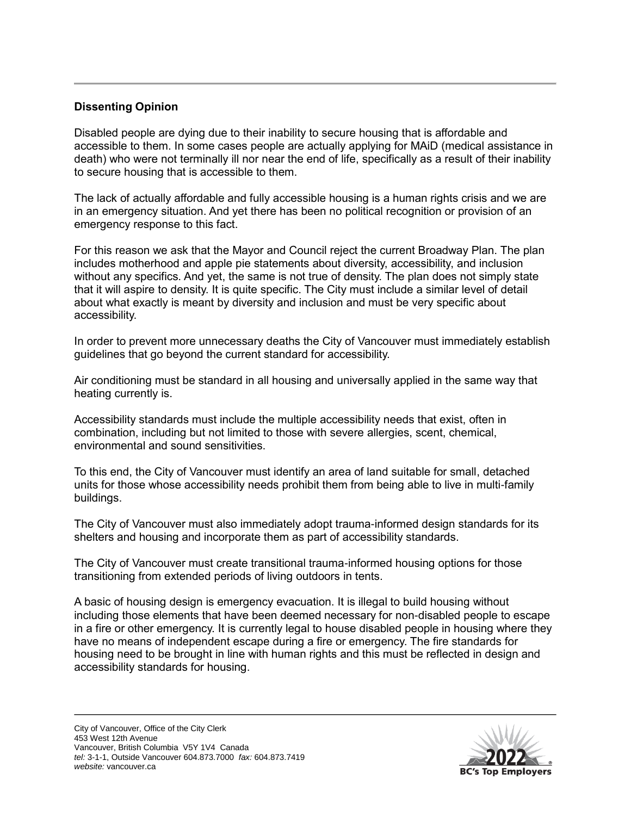## **Dissenting Opinion**

Disabled people are dying due to their inability to secure housing that is affordable and accessible to them. In some cases people are actually applying for MAiD (medical assistance in death) who were not terminally ill nor near the end of life, specifically as a result of their inability to secure housing that is accessible to them.

The lack of actually affordable and fully accessible housing is a human rights crisis and we are in an emergency situation. And yet there has been no political recognition or provision of an emergency response to this fact.

For this reason we ask that the Mayor and Council reject the current Broadway Plan. The plan includes motherhood and apple pie statements about diversity, accessibility, and inclusion without any specifics. And yet, the same is not true of density. The plan does not simply state that it will aspire to density. It is quite specific. The City must include a similar level of detail about what exactly is meant by diversity and inclusion and must be very specific about accessibility.

In order to prevent more unnecessary deaths the City of Vancouver must immediately establish guidelines that go beyond the current standard for accessibility.

Air conditioning must be standard in all housing and universally applied in the same way that heating currently is.

Accessibility standards must include the multiple accessibility needs that exist, often in combination, including but not limited to those with severe allergies, scent, chemical, environmental and sound sensitivities.

To this end, the City of Vancouver must identify an area of land suitable for small, detached units for those whose accessibility needs prohibit them from being able to live in multi-family buildings.

The City of Vancouver must also immediately adopt trauma-informed design standards for its shelters and housing and incorporate them as part of accessibility standards.

The City of Vancouver must create transitional trauma-informed housing options for those transitioning from extended periods of living outdoors in tents.

A basic of housing design is emergency evacuation. It is illegal to build housing without including those elements that have been deemed necessary for non-disabled people to escape in a fire or other emergency. It is currently legal to house disabled people in housing where they have no means of independent escape during a fire or emergency. The fire standards for housing need to be brought in line with human rights and this must be reflected in design and accessibility standards for housing.

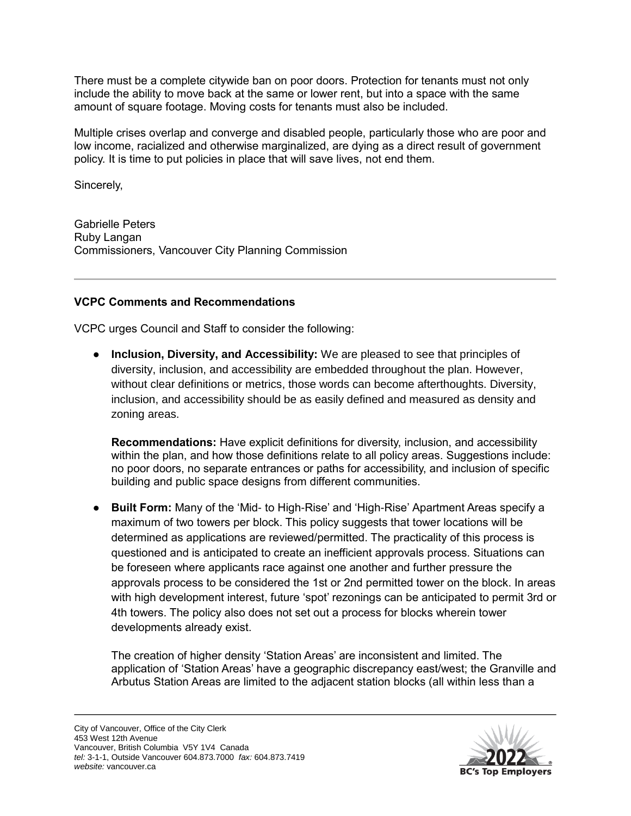There must be a complete citywide ban on poor doors. Protection for tenants must not only include the ability to move back at the same or lower rent, but into a space with the same amount of square footage. Moving costs for tenants must also be included.

Multiple crises overlap and converge and disabled people, particularly those who are poor and low income, racialized and otherwise marginalized, are dying as a direct result of government policy. It is time to put policies in place that will save lives, not end them.

Sincerely,

Gabrielle Peters Ruby Langan Commissioners, Vancouver City Planning Commission

## **VCPC Comments and Recommendations**

VCPC urges Council and Staff to consider the following:

● **Inclusion, Diversity, and Accessibility:** We are pleased to see that principles of diversity, inclusion, and accessibility are embedded throughout the plan. However, without clear definitions or metrics, those words can become afterthoughts. Diversity, inclusion, and accessibility should be as easily defined and measured as density and zoning areas.

**Recommendations:** Have explicit definitions for diversity, inclusion, and accessibility within the plan, and how those definitions relate to all policy areas. Suggestions include: no poor doors, no separate entrances or paths for accessibility, and inclusion of specific building and public space designs from different communities.

● **Built Form:** Many of the 'Mid- to High-Rise' and 'High-Rise' Apartment Areas specify a maximum of two towers per block. This policy suggests that tower locations will be determined as applications are reviewed/permitted. The practicality of this process is questioned and is anticipated to create an inefficient approvals process. Situations can be foreseen where applicants race against one another and further pressure the approvals process to be considered the 1st or 2nd permitted tower on the block. In areas with high development interest, future 'spot' rezonings can be anticipated to permit 3rd or 4th towers. The policy also does not set out a process for blocks wherein tower developments already exist.

The creation of higher density 'Station Areas' are inconsistent and limited. The application of 'Station Areas' have a geographic discrepancy east/west; the Granville and Arbutus Station Areas are limited to the adjacent station blocks (all within less than a

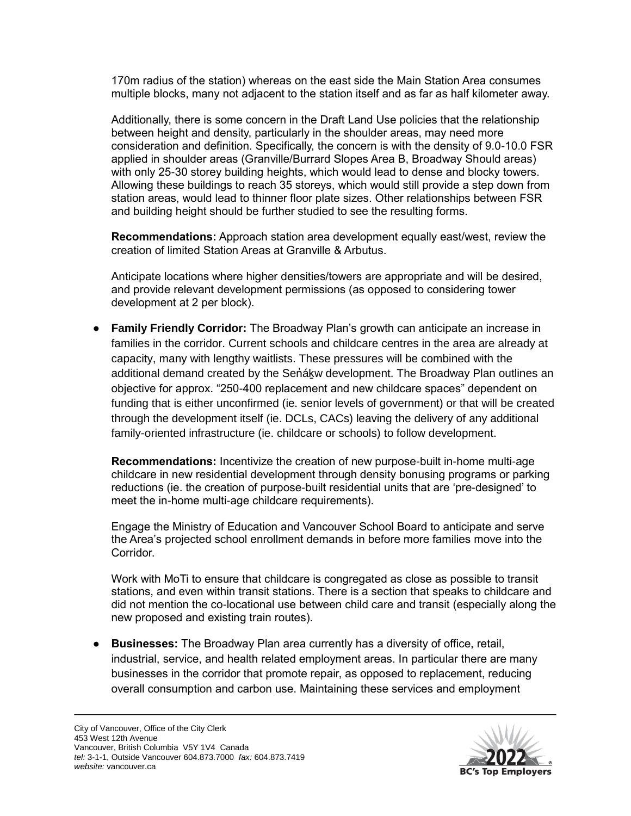170m radius of the station) whereas on the east side the Main Station Area consumes multiple blocks, many not adjacent to the station itself and as far as half kilometer away.

Additionally, there is some concern in the Draft Land Use policies that the relationship between height and density, particularly in the shoulder areas, may need more consideration and definition. Specifically, the concern is with the density of 9.0-10.0 FSR applied in shoulder areas (Granville/Burrard Slopes Area B, Broadway Should areas) with only 25-30 storey building heights, which would lead to dense and blocky towers. Allowing these buildings to reach 35 storeys, which would still provide a step down from station areas, would lead to thinner floor plate sizes. Other relationships between FSR and building height should be further studied to see the resulting forms.

**Recommendations:** Approach station area development equally east/west, review the creation of limited Station Areas at Granville & Arbutus.

Anticipate locations where higher densities/towers are appropriate and will be desired, and provide relevant development permissions (as opposed to considering tower development at 2 per block).

● **Family Friendly Corridor:** The Broadway Plan's growth can anticipate an increase in families in the corridor. Current schools and childcare centres in the area are already at capacity, many with lengthy waitlists. These pressures will be combined with the additional demand created by the Senakw development. The Broadway Plan outlines an objective for approx. "250-400 replacement and new childcare spaces" dependent on funding that is either unconfirmed (ie. senior levels of government) or that will be created through the development itself (ie. DCLs, CACs) leaving the delivery of any additional family-oriented infrastructure (ie. childcare or schools) to follow development.

**Recommendations:** Incentivize the creation of new purpose-built in-home multi-age childcare in new residential development through density bonusing programs or parking reductions (ie. the creation of purpose-built residential units that are 'pre-designed' to meet the in-home multi-age childcare requirements).

Engage the Ministry of Education and Vancouver School Board to anticipate and serve the Area's projected school enrollment demands in before more families move into the **Corridor** 

Work with MoTi to ensure that childcare is congregated as close as possible to transit stations, and even within transit stations. There is a section that speaks to childcare and did not mention the co-locational use between child care and transit (especially along the new proposed and existing train routes).

● **Businesses:** The Broadway Plan area currently has a diversity of office, retail, industrial, service, and health related employment areas. In particular there are many businesses in the corridor that promote repair, as opposed to replacement, reducing overall consumption and carbon use. Maintaining these services and employment

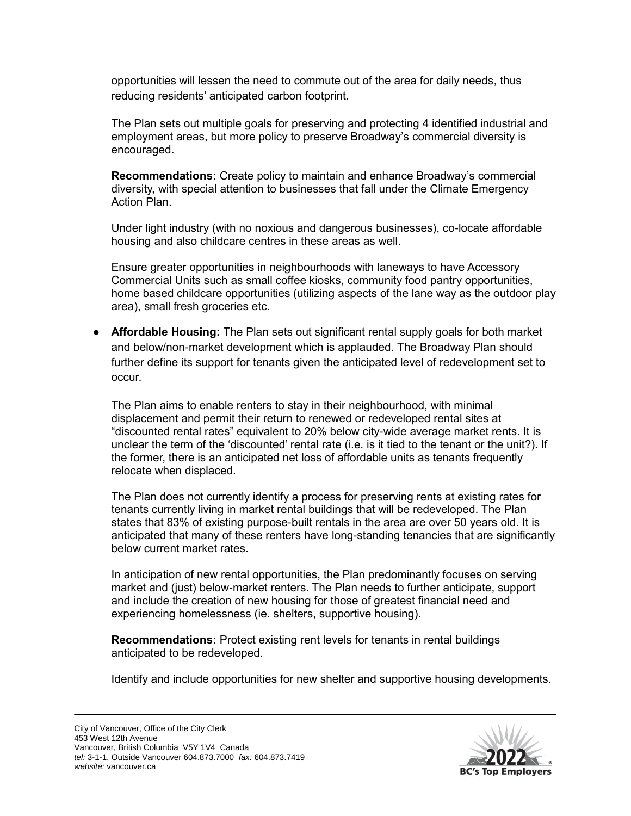opportunities will lessen the need to commute out of the area for daily needs, thus reducing residents' anticipated carbon footprint.

The Plan sets out multiple goals for preserving and protecting 4 identified industrial and employment areas, but more policy to preserve Broadway's commercial diversity is encouraged.

**Recommendations:** Create policy to maintain and enhance Broadway's commercial diversity, with special attention to businesses that fall under the Climate Emergency Action Plan.

Under light industry (with no noxious and dangerous businesses), co-locate affordable housing and also childcare centres in these areas as well.

Ensure greater opportunities in neighbourhoods with laneways to have Accessory Commercial Units such as small coffee kiosks, community food pantry opportunities, home based childcare opportunities (utilizing aspects of the lane way as the outdoor play area), small fresh groceries etc.

● **Affordable Housing:** The Plan sets out significant rental supply goals for both market and below/non-market development which is applauded. The Broadway Plan should further define its support for tenants given the anticipated level of redevelopment set to occur.

The Plan aims to enable renters to stay in their neighbourhood, with minimal displacement and permit their return to renewed or redeveloped rental sites at "discounted rental rates" equivalent to 20% below city-wide average market rents. It is unclear the term of the 'discounted' rental rate (i.e. is it tied to the tenant or the unit?). If the former, there is an anticipated net loss of affordable units as tenants frequently relocate when displaced.

The Plan does not currently identify a process for preserving rents at existing rates for tenants currently living in market rental buildings that will be redeveloped. The Plan states that 83% of existing purpose-built rentals in the area are over 50 years old. It is anticipated that many of these renters have long-standing tenancies that are significantly below current market rates.

In anticipation of new rental opportunities, the Plan predominantly focuses on serving market and (just) below-market renters. The Plan needs to further anticipate, support and include the creation of new housing for those of greatest financial need and experiencing homelessness (ie. shelters, supportive housing).

**Recommendations:** Protect existing rent levels for tenants in rental buildings anticipated to be redeveloped.

Identify and include opportunities for new shelter and supportive housing developments.

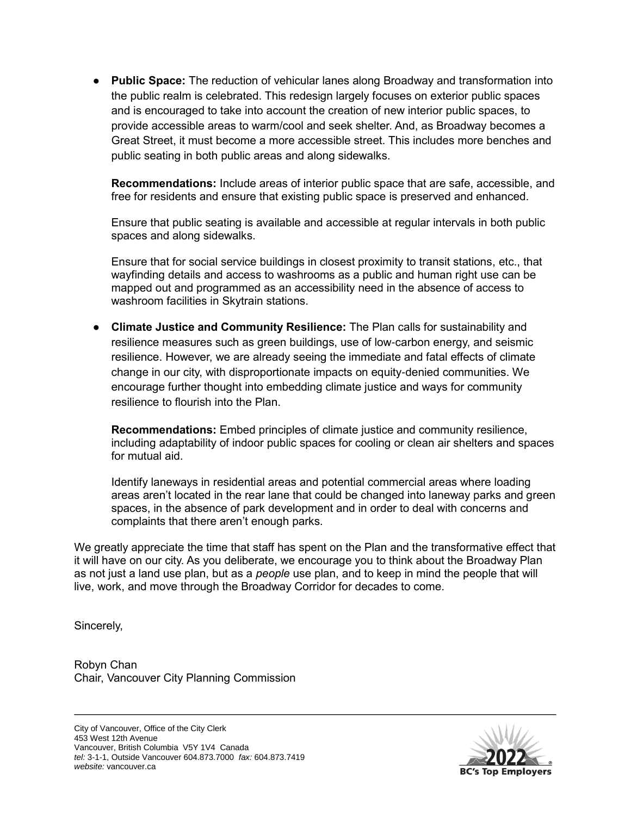● **Public Space:** The reduction of vehicular lanes along Broadway and transformation into the public realm is celebrated. This redesign largely focuses on exterior public spaces and is encouraged to take into account the creation of new interior public spaces, to provide accessible areas to warm/cool and seek shelter. And, as Broadway becomes a Great Street, it must become a more accessible street. This includes more benches and public seating in both public areas and along sidewalks.

**Recommendations:** Include areas of interior public space that are safe, accessible, and free for residents and ensure that existing public space is preserved and enhanced.

Ensure that public seating is available and accessible at regular intervals in both public spaces and along sidewalks.

Ensure that for social service buildings in closest proximity to transit stations, etc., that wayfinding details and access to washrooms as a public and human right use can be mapped out and programmed as an accessibility need in the absence of access to washroom facilities in Skytrain stations.

● **Climate Justice and Community Resilience:** The Plan calls for sustainability and resilience measures such as green buildings, use of low-carbon energy, and seismic resilience. However, we are already seeing the immediate and fatal effects of climate change in our city, with disproportionate impacts on equity-denied communities. We encourage further thought into embedding climate justice and ways for community resilience to flourish into the Plan.

**Recommendations:** Embed principles of climate justice and community resilience, including adaptability of indoor public spaces for cooling or clean air shelters and spaces for mutual aid.

Identify laneways in residential areas and potential commercial areas where loading areas aren't located in the rear lane that could be changed into laneway parks and green spaces, in the absence of park development and in order to deal with concerns and complaints that there aren't enough parks.

We greatly appreciate the time that staff has spent on the Plan and the transformative effect that it will have on our city. As you deliberate, we encourage you to think about the Broadway Plan as not just a land use plan, but as a *people* use plan, and to keep in mind the people that will live, work, and move through the Broadway Corridor for decades to come.

Sincerely,

Robyn Chan Chair, Vancouver City Planning Commission